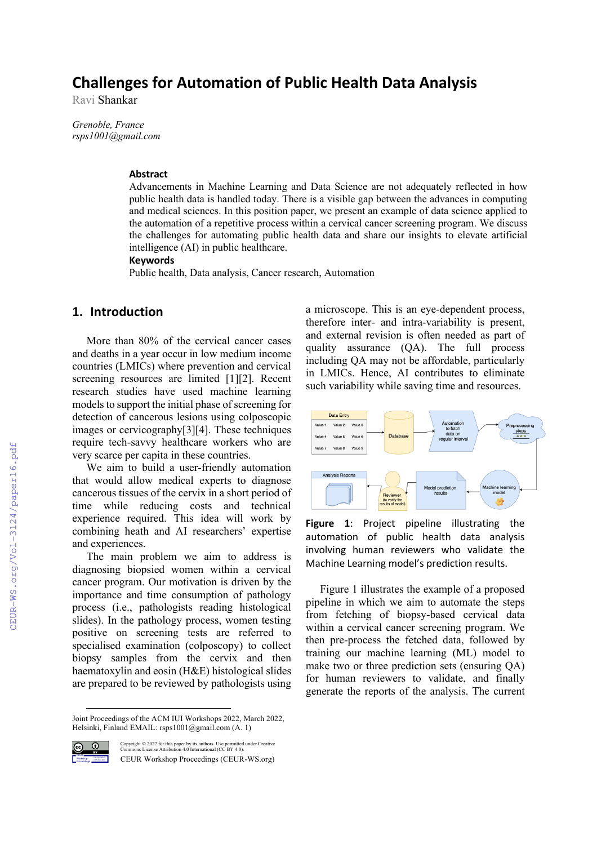# **Challenges for Automation of Public Health Data Analysis**

Ravi Shankar

*Grenoble, France rsps1001@gmail.com*

#### **Abstract**

Advancements in Machine Learning and Data Science are not adequately reflected in how public health data is handled today. There is a visible gap between the advances in computing and medical sciences. In this position paper, we present an example of data science applied to the automation of a repetitive process within a cervical cancer screening program. We discuss the challenges for automating public health data and share our insights to elevate artificial intelligence (AI) in public healthcare.

#### **Keywords**

Public health, Data analysis, Cancer research, Automation

### **1. Introduction**

More than 80% of the cervical cancer cases and deaths in a year occur in low medium income countries (LMICs) where prevention and cervical screening resources are limited [1][2]. Recent research studies have used machine learning models to support the initial phase of screening for detection of cancerous lesions using colposcopic images or cervicography[3][4]. These techniques require tech-savvy healthcare workers who are very scarce per capita in these countries.

We aim to build a user-friendly automation that would allow medical experts to diagnose cancerous tissues of the cervix in a short period of time while reducing costs and technical experience required. This idea will work by combining heath and AI researchers' expertise and experiences.

The main problem we aim to address is diagnosing biopsied women within a cervical cancer program. Our motivation is driven by the importance and time consumption of pathology process (i.e., pathologists reading histological slides). In the pathology process, women testing positive on screening tests are referred to specialised examination (colposcopy) to collect biopsy samples from the cervix and then haematoxylin and eosin (H&E) histological slides are prepared to be reviewed by pathologists using

Joint Proceedings of the ACM IUI Workshops 2022, March 2022, Helsinki, Finland EMAIL: rsps1001@gmail.com (A. 1)



Copyright © 2022 for this paper by its authors. Use permitted under Creative Commons License Attribution 4.0 International (CC BY 4.0). CEUR Workshop Proceedings (CEUR-WS.org)

a microscope. This is an eye-dependent process, therefore inter- and intra-variability is present, and external revision is often needed as part of quality assurance (QA). The full process including QA may not be affordable, particularly in LMICs. Hence, AI contributes to eliminate such variability while saving time and resources.



**Figure 1**: Project pipeline illustrating the automation of public health data analysis involving human reviewers who validate the Machine Learning model's prediction results.

Figure 1 illustrates the example of a proposed pipeline in which we aim to automate the steps from fetching of biopsy-based cervical data within a cervical cancer screening program. We then pre-process the fetched data, followed by training our machine learning (ML) model to make two or three prediction sets (ensuring QA) for human reviewers to validate, and finally generate the reports of the analysis. The current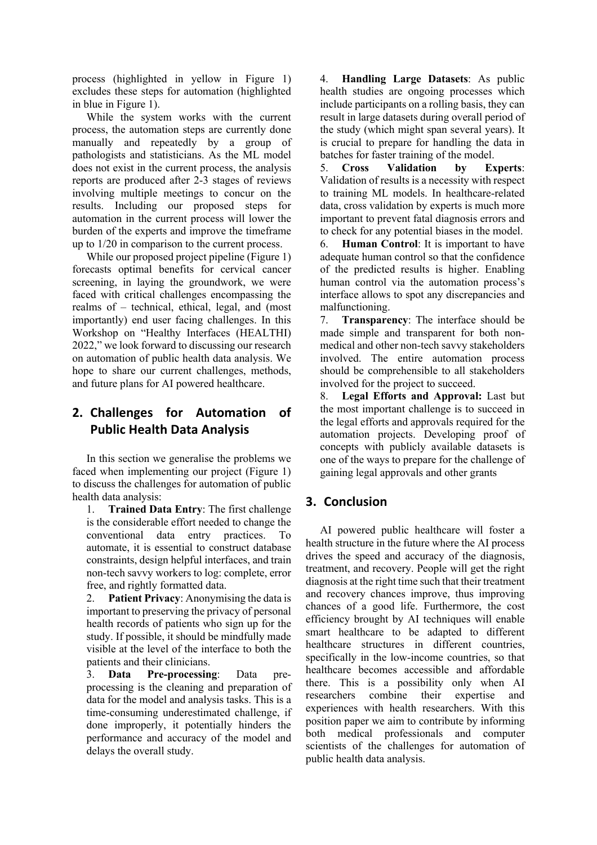process (highlighted in yellow in Figure 1) excludes these steps for automation (highlighted in blue in Figure 1).

While the system works with the current process, the automation steps are currently done manually and repeatedly by a group of pathologists and statisticians. As the ML model does not exist in the current process, the analysis reports are produced after 2-3 stages of reviews involving multiple meetings to concur on the results. Including our proposed steps for automation in the current process will lower the burden of the experts and improve the timeframe up to 1/20 in comparison to the current process.

While our proposed project pipeline (Figure 1) forecasts optimal benefits for cervical cancer screening, in laying the groundwork, we were faced with critical challenges encompassing the realms of – technical, ethical, legal, and (most importantly) end user facing challenges. In this Workshop on "Healthy Interfaces (HEALTHI) 2022," we look forward to discussing our research on automation of public health data analysis. We hope to share our current challenges, methods, and future plans for AI powered healthcare.

## **2. Challenges for Automation of Public Health Data Analysis**

In this section we generalise the problems we faced when implementing our project (Figure 1) to discuss the challenges for automation of public health data analysis:

1. **Trained Data Entry**: The first challenge is the considerable effort needed to change the conventional data entry practices. To automate, it is essential to construct database constraints, design helpful interfaces, and train non-tech savvy workers to log: complete, error free, and rightly formatted data.

2. **Patient Privacy**: Anonymising the data is important to preserving the privacy of personal health records of patients who sign up for the study. If possible, it should be mindfully made visible at the level of the interface to both the patients and their clinicians.

3. **Data Pre-processing**: Data preprocessing is the cleaning and preparation of data for the model and analysis tasks. This is a time-consuming underestimated challenge, if done improperly, it potentially hinders the performance and accuracy of the model and delays the overall study.

4. **Handling Large Datasets**: As public health studies are ongoing processes which include participants on a rolling basis, they can result in large datasets during overall period of the study (which might span several years). It is crucial to prepare for handling the data in batches for faster training of the model.

5. **Cross Validation by Experts**: Validation of results is a necessity with respect to training ML models. In healthcare-related data, cross validation by experts is much more important to prevent fatal diagnosis errors and to check for any potential biases in the model.

6. **Human Control**: It is important to have adequate human control so that the confidence of the predicted results is higher. Enabling human control via the automation process's interface allows to spot any discrepancies and malfunctioning.

7. **Transparency**: The interface should be made simple and transparent for both nonmedical and other non-tech savvy stakeholders involved. The entire automation process should be comprehensible to all stakeholders involved for the project to succeed.

8. **Legal Efforts and Approval:** Last but the most important challenge is to succeed in the legal efforts and approvals required for the automation projects. Developing proof of concepts with publicly available datasets is one of the ways to prepare for the challenge of gaining legal approvals and other grants

### **3. Conclusion**

AI powered public healthcare will foster a health structure in the future where the AI process drives the speed and accuracy of the diagnosis, treatment, and recovery. People will get the right diagnosis at the right time such that their treatment and recovery chances improve, thus improving chances of a good life. Furthermore, the cost efficiency brought by AI techniques will enable smart healthcare to be adapted to different healthcare structures in different countries, specifically in the low-income countries, so that healthcare becomes accessible and affordable there. This is a possibility only when AI researchers combine their expertise and experiences with health researchers. With this position paper we aim to contribute by informing both medical professionals and computer scientists of the challenges for automation of public health data analysis.